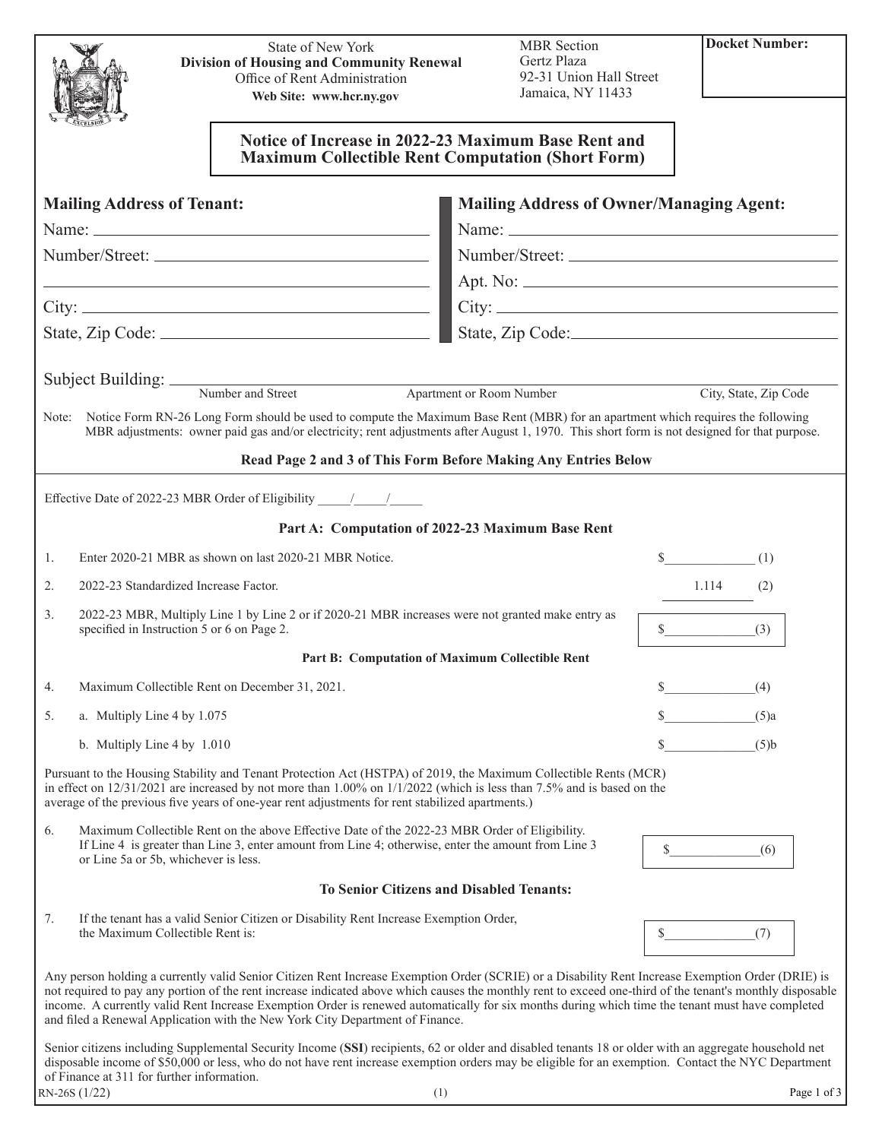|                                                                                                                                                                               |                                                                                                                                                                                                                                                                                                                                                           | <b>State of New York</b><br><b>Division of Housing and Community Renewal</b>                                                                                                                                                                                                                                                                                                                                                                                                                                                                        | <b>MBR</b> Section<br>Gertz Plaza               | <b>Docket Number:</b> |  |  |
|-------------------------------------------------------------------------------------------------------------------------------------------------------------------------------|-----------------------------------------------------------------------------------------------------------------------------------------------------------------------------------------------------------------------------------------------------------------------------------------------------------------------------------------------------------|-----------------------------------------------------------------------------------------------------------------------------------------------------------------------------------------------------------------------------------------------------------------------------------------------------------------------------------------------------------------------------------------------------------------------------------------------------------------------------------------------------------------------------------------------------|-------------------------------------------------|-----------------------|--|--|
|                                                                                                                                                                               |                                                                                                                                                                                                                                                                                                                                                           | Office of Rent Administration<br>Web Site: www.hcr.ny.gov                                                                                                                                                                                                                                                                                                                                                                                                                                                                                           | 92-31 Union Hall Street<br>Jamaica, NY 11433    |                       |  |  |
|                                                                                                                                                                               |                                                                                                                                                                                                                                                                                                                                                           |                                                                                                                                                                                                                                                                                                                                                                                                                                                                                                                                                     |                                                 |                       |  |  |
|                                                                                                                                                                               |                                                                                                                                                                                                                                                                                                                                                           | Notice of Increase in 2022-23 Maximum Base Rent and<br><b>Maximum Collectible Rent Computation (Short Form)</b>                                                                                                                                                                                                                                                                                                                                                                                                                                     |                                                 |                       |  |  |
|                                                                                                                                                                               | <b>Mailing Address of Tenant:</b>                                                                                                                                                                                                                                                                                                                         |                                                                                                                                                                                                                                                                                                                                                                                                                                                                                                                                                     | <b>Mailing Address of Owner/Managing Agent:</b> |                       |  |  |
|                                                                                                                                                                               |                                                                                                                                                                                                                                                                                                                                                           |                                                                                                                                                                                                                                                                                                                                                                                                                                                                                                                                                     |                                                 |                       |  |  |
|                                                                                                                                                                               |                                                                                                                                                                                                                                                                                                                                                           |                                                                                                                                                                                                                                                                                                                                                                                                                                                                                                                                                     |                                                 | Number/Street:        |  |  |
|                                                                                                                                                                               |                                                                                                                                                                                                                                                                                                                                                           | <u> 1989 - Johann Stein, mars an deutscher Stein und der Stein und der Stein und der Stein und der Stein und der</u>                                                                                                                                                                                                                                                                                                                                                                                                                                |                                                 |                       |  |  |
|                                                                                                                                                                               |                                                                                                                                                                                                                                                                                                                                                           |                                                                                                                                                                                                                                                                                                                                                                                                                                                                                                                                                     |                                                 |                       |  |  |
|                                                                                                                                                                               |                                                                                                                                                                                                                                                                                                                                                           |                                                                                                                                                                                                                                                                                                                                                                                                                                                                                                                                                     |                                                 | State, Zip Code:      |  |  |
|                                                                                                                                                                               |                                                                                                                                                                                                                                                                                                                                                           |                                                                                                                                                                                                                                                                                                                                                                                                                                                                                                                                                     |                                                 |                       |  |  |
|                                                                                                                                                                               |                                                                                                                                                                                                                                                                                                                                                           | Subject Building: Number and Street Apartn                                                                                                                                                                                                                                                                                                                                                                                                                                                                                                          | <b>Apartment or Room Number</b>                 | City, State, Zip Code |  |  |
|                                                                                                                                                                               |                                                                                                                                                                                                                                                                                                                                                           | Note: Notice Form RN-26 Long Form should be used to compute the Maximum Base Rent (MBR) for an apartment which requires the following<br>MBR adjustments: owner paid gas and/or electricity; rent adjustments after August 1, 1970. This short form is not designed for that purpose.                                                                                                                                                                                                                                                               |                                                 |                       |  |  |
|                                                                                                                                                                               |                                                                                                                                                                                                                                                                                                                                                           | Read Page 2 and 3 of This Form Before Making Any Entries Below                                                                                                                                                                                                                                                                                                                                                                                                                                                                                      |                                                 |                       |  |  |
|                                                                                                                                                                               |                                                                                                                                                                                                                                                                                                                                                           |                                                                                                                                                                                                                                                                                                                                                                                                                                                                                                                                                     |                                                 |                       |  |  |
|                                                                                                                                                                               |                                                                                                                                                                                                                                                                                                                                                           | Part A: Computation of 2022-23 Maximum Base Rent                                                                                                                                                                                                                                                                                                                                                                                                                                                                                                    |                                                 |                       |  |  |
| 1.                                                                                                                                                                            |                                                                                                                                                                                                                                                                                                                                                           | Enter 2020-21 MBR as shown on last 2020-21 MBR Notice.                                                                                                                                                                                                                                                                                                                                                                                                                                                                                              |                                                 | $\sim$<br>(1)         |  |  |
| 2.                                                                                                                                                                            | 2022-23 Standardized Increase Factor.                                                                                                                                                                                                                                                                                                                     |                                                                                                                                                                                                                                                                                                                                                                                                                                                                                                                                                     |                                                 | 1.114<br>(2)          |  |  |
| 2022-23 MBR, Multiply Line 1 by Line 2 or if 2020-21 MBR increases were not granted make entry as<br>3.<br>specified in Instruction 5 or 6 on Page 2.<br>$\frac{1}{2}$<br>(3) |                                                                                                                                                                                                                                                                                                                                                           |                                                                                                                                                                                                                                                                                                                                                                                                                                                                                                                                                     |                                                 |                       |  |  |
|                                                                                                                                                                               |                                                                                                                                                                                                                                                                                                                                                           | Part B: Computation of Maximum Collectible Rent                                                                                                                                                                                                                                                                                                                                                                                                                                                                                                     |                                                 |                       |  |  |
| 4.                                                                                                                                                                            |                                                                                                                                                                                                                                                                                                                                                           | Maximum Collectible Rent on December 31, 2021.                                                                                                                                                                                                                                                                                                                                                                                                                                                                                                      |                                                 | \$<br>(4)             |  |  |
| 5.                                                                                                                                                                            | a. Multiply Line 4 by 1.075                                                                                                                                                                                                                                                                                                                               |                                                                                                                                                                                                                                                                                                                                                                                                                                                                                                                                                     |                                                 | $(5)$ a               |  |  |
|                                                                                                                                                                               | b. Multiply Line $4 \text{ by } 1.010$                                                                                                                                                                                                                                                                                                                    |                                                                                                                                                                                                                                                                                                                                                                                                                                                                                                                                                     |                                                 | (5)b                  |  |  |
|                                                                                                                                                                               |                                                                                                                                                                                                                                                                                                                                                           | Pursuant to the Housing Stability and Tenant Protection Act (HSTPA) of 2019, the Maximum Collectible Rents (MCR)<br>in effect on $12/31/2021$ are increased by not more than $1.00\%$ on $1/1/2022$ (which is less than 7.5% and is based on the<br>average of the previous five years of one-year rent adjustments for rent stabilized apartments.)                                                                                                                                                                                                |                                                 |                       |  |  |
| 6.                                                                                                                                                                            | or Line 5a or 5b, whichever is less.                                                                                                                                                                                                                                                                                                                      | Maximum Collectible Rent on the above Effective Date of the 2022-23 MBR Order of Eligibility.<br>If Line 4 is greater than Line 3, enter amount from Line 4; otherwise, enter the amount from Line 3                                                                                                                                                                                                                                                                                                                                                |                                                 | $\sim$<br>(6)         |  |  |
|                                                                                                                                                                               |                                                                                                                                                                                                                                                                                                                                                           | <b>To Senior Citizens and Disabled Tenants:</b>                                                                                                                                                                                                                                                                                                                                                                                                                                                                                                     |                                                 |                       |  |  |
| 7.                                                                                                                                                                            |                                                                                                                                                                                                                                                                                                                                                           | If the tenant has a valid Senior Citizen or Disability Rent Increase Exemption Order,                                                                                                                                                                                                                                                                                                                                                                                                                                                               |                                                 |                       |  |  |
|                                                                                                                                                                               | the Maximum Collectible Rent is:                                                                                                                                                                                                                                                                                                                          |                                                                                                                                                                                                                                                                                                                                                                                                                                                                                                                                                     |                                                 | $\mathbb{S}^-$<br>(7) |  |  |
|                                                                                                                                                                               |                                                                                                                                                                                                                                                                                                                                                           | Any person holding a currently valid Senior Citizen Rent Increase Exemption Order (SCRIE) or a Disability Rent Increase Exemption Order (DRIE) is<br>not required to pay any portion of the rent increase indicated above which causes the monthly rent to exceed one-third of the tenant's monthly disposable<br>income. A currently valid Rent Increase Exemption Order is renewed automatically for six months during which time the tenant must have completed<br>and filed a Renewal Application with the New York City Department of Finance. |                                                 |                       |  |  |
|                                                                                                                                                                               | Senior citizens including Supplemental Security Income (SSI) recipients, 62 or older and disabled tenants 18 or older with an aggregate household net<br>disposable income of \$50,000 or less, who do not have rent increase exemption orders may be eligible for an exemption. Contact the NYC Department<br>of Finance at 311 for further information. |                                                                                                                                                                                                                                                                                                                                                                                                                                                                                                                                                     |                                                 |                       |  |  |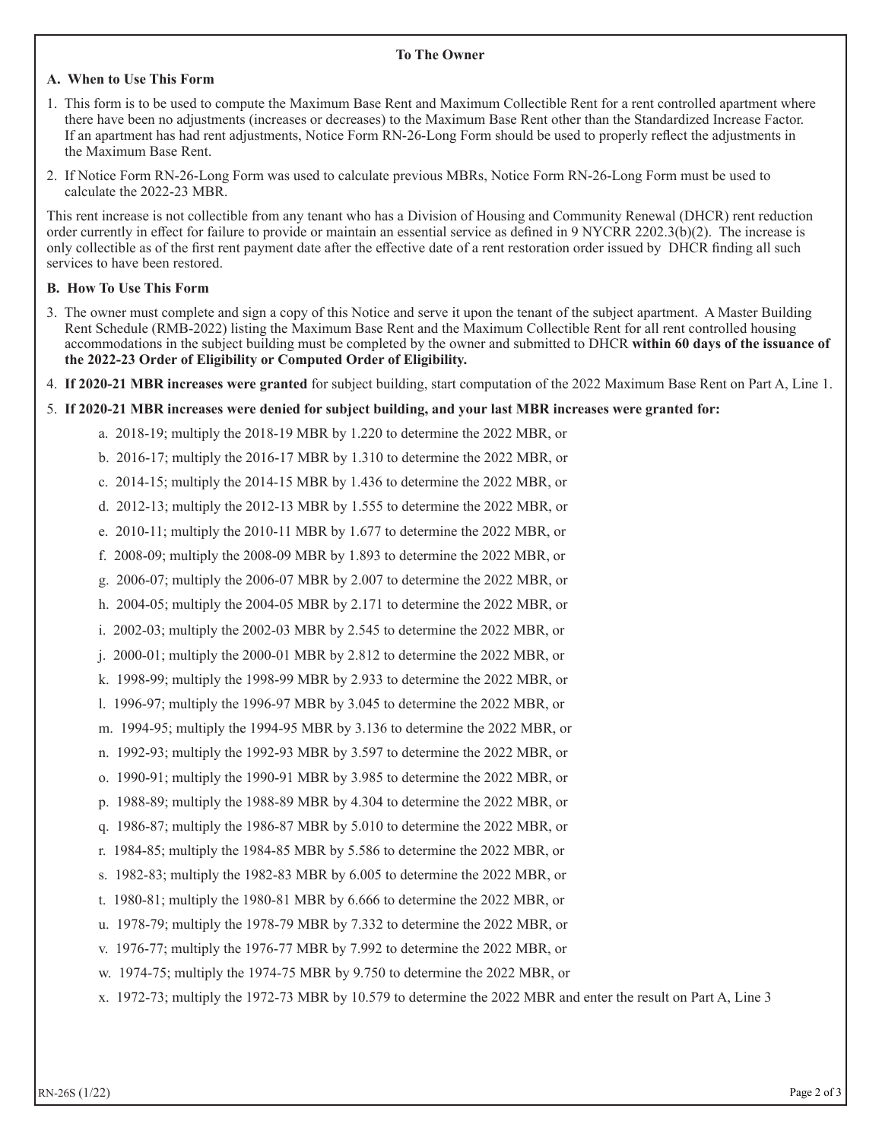## **To The Owner**

# **A. When to Use This Form**

- 1. This form is to be used to compute the Maximum Base Rent and Maximum Collectible Rent for a rent controlled apartment where there have been no adjustments (increases or decreases) to the Maximum Base Rent other than the Standardized Increase Factor. If an apartment has had rent adjustments, Notice Form RN-26-Long Form should be used to properly reflect the adjustments in the Maximum Base Rent.
- 2. If Notice Form RN-26-Long Form was used to calculate previous MBRs, Notice Form RN-26-Long Form must be used to calculate the 2022-23 MBR.

This rent increase is not collectible from any tenant who has a Division of Housing and Community Renewal (DHCR) rent reduction order currently in effect for failure to provide or maintain an essential service as defined in 9 NYCRR 2202.3(b)(2). The increase is only collectible as of the first rent payment date after the effective date of a rent restoration order issued by DHCR finding all such services to have been restored.

## **B. How To Use This Form**

- 3. The owner must complete and sign a copy of this Notice and serve it upon the tenant of the subject apartment. A Master Building Rent Schedule (RMB-2022) listing the Maximum Base Rent and the Maximum Collectible Rent for all rent controlled housing accommodations in the subject building must be completed by the owner and submitted to DHCR **within 60 days of the issuance of the 2022-23 Order of Eligibility or Computed Order of Eligibility.**
- 4. **If 2020-21 MBR increases were granted** for subject building, start computation of the 2022 Maximum Base Rent on Part A, Line 1.
- 5. **If 2020-21 MBR increases were denied for subject building, and your last MBR increases were granted for:**
	- a. 2018-19; multiply the 2018-19 MBR by 1.220 to determine the 2022 MBR, or
	- b. 2016-17; multiply the 2016-17 MBR by 1.310 to determine the 2022 MBR, or
	- c. 2014-15; multiply the 2014-15 MBR by 1.436 to determine the 2022 MBR, or
	- d. 2012-13; multiply the 2012-13 MBR by 1.555 to determine the 2022 MBR, or
	- e. 2010-11; multiply the 2010-11 MBR by 1.677 to determine the 2022 MBR, or
	- f. 2008-09; multiply the 2008-09 MBR by 1.893 to determine the 2022 MBR, or
	- g. 2006-07; multiply the 2006-07 MBR by 2.007 to determine the 2022 MBR, or
	- h. 2004-05; multiply the 2004-05 MBR by 2.171 to determine the 2022 MBR, or
	- i. 2002-03; multiply the 2002-03 MBR by 2.545 to determine the 2022 MBR, or
	- j. 2000-01; multiply the 2000-01 MBR by 2.812 to determine the 2022 MBR, or
	- k. 1998-99; multiply the 1998-99 MBR by 2.933 to determine the 2022 MBR, or
	- l. 1996-97; multiply the 1996-97 MBR by 3.045 to determine the 2022 MBR, or
	- m. 1994-95; multiply the 1994-95 MBR by 3.136 to determine the 2022 MBR, or
	- n. 1992-93; multiply the 1992-93 MBR by 3.597 to determine the 2022 MBR, or
	- o. 1990-91; multiply the 1990-91 MBR by 3.985 to determine the 2022 MBR, or
	- p. 1988-89; multiply the 1988-89 MBR by 4.304 to determine the 2022 MBR, or
	- q. 1986-87; multiply the 1986-87 MBR by 5.010 to determine the 2022 MBR, or
	- r. 1984-85; multiply the 1984-85 MBR by 5.586 to determine the 2022 MBR, or
	- s. 1982-83; multiply the 1982-83 MBR by 6.005 to determine the 2022 MBR, or
	- t. 1980-81; multiply the 1980-81 MBR by 6.666 to determine the 2022 MBR, or
	- u. 1978-79; multiply the 1978-79 MBR by 7.332 to determine the 2022 MBR, or
	- v. 1976-77; multiply the 1976-77 MBR by 7.992 to determine the 2022 MBR, or
	- w. 1974-75; multiply the 1974-75 MBR by 9.750 to determine the 2022 MBR, or
	- x. 1972-73; multiply the 1972-73 MBR by 10.579 to determine the 2022 MBR and enter the result on Part A, Line 3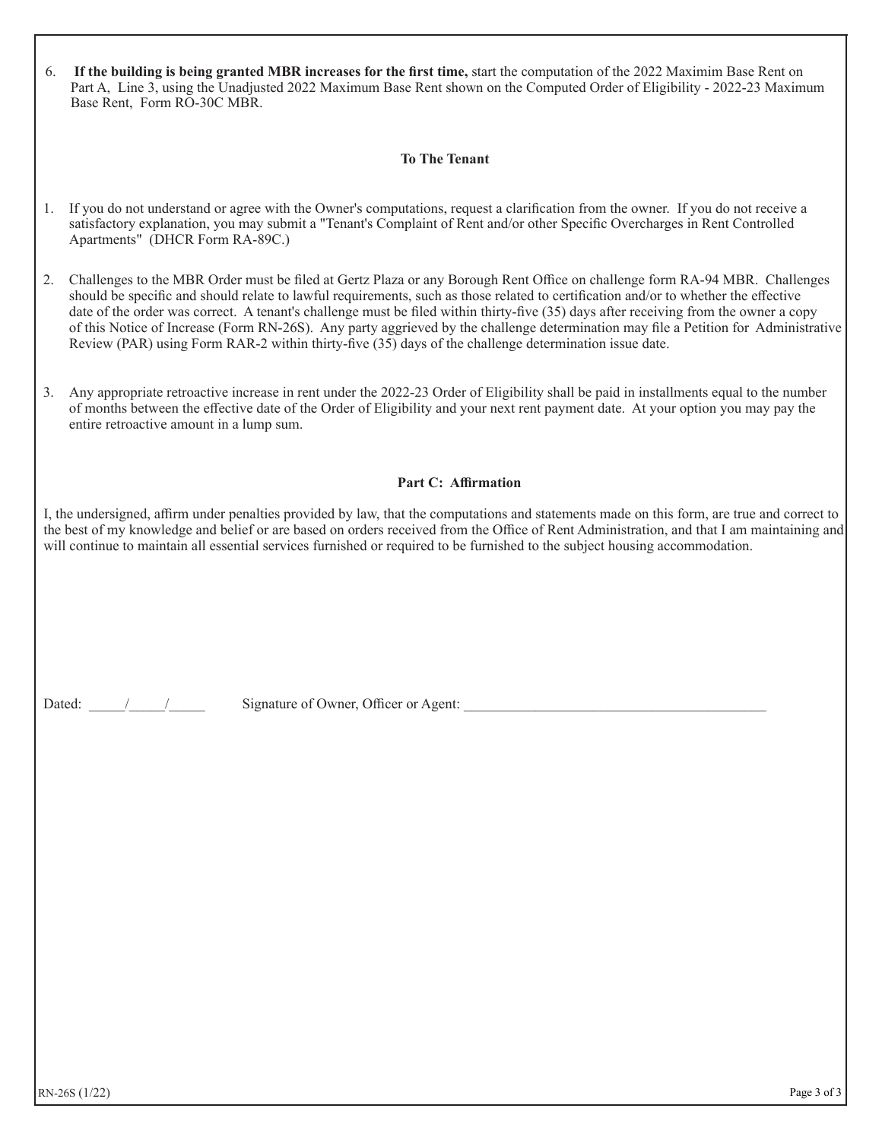| 6. If the building is being granted MBR increases for the first time, start the computation of the 2022 Maximim Base Rent on |
|------------------------------------------------------------------------------------------------------------------------------|
| Part A, Line 3, using the Unadjusted 2022 Maximum Base Rent shown on the Computed Order of Eligibility - 2022-23 Maximum     |
| Base Rent. Form RO-30C MBR.                                                                                                  |

## **To The Tenant**

- 1. If you do not understand or agree with the Owner's computations, request a clarification from the owner. If you do not receive a satisfactory explanation, you may submit a "Tenant's Complaint of Rent and/or other Specific Overcharges in Rent Controlled Apartments" (DHCR Form RA-89C.)
- 2. Challenges to the MBR Order must be filed at Gertz Plaza or any Borough Rent Office on challenge form RA-94 MBR. Challenges should be specific and should relate to lawful requirements, such as those related to certification and/or to whether the effective date of the order was correct. A tenant's challenge must be filed within thirty-five (35) days after receiving from the owner a copy of this Notice of Increase (Form RN-26S). Any party aggrieved by the challenge determination may file a Petition for Administrative Review (PAR) using Form RAR-2 within thirty-five (35) days of the challenge determination issue date.
- 3. Any appropriate retroactive increase in rent under the 2022-23 Order of Eligibility shall be paid in installments equal to the number of months between the effective date of the Order of Eligibility and your next rent payment date. At your option you may pay the entire retroactive amount in a lump sum.

#### **Part C: Affirmation**

I, the undersigned, affirm under penalties provided by law, that the computations and statements made on this form, are true and correct to the best of my knowledge and belief or are based on orders received from the Office of Rent Administration, and that I am maintaining and will continue to maintain all essential services furnished or required to be furnished to the subject housing accommodation.

Dated:  $\frac{1}{2}$  / Signature of Owner, Officer or Agent: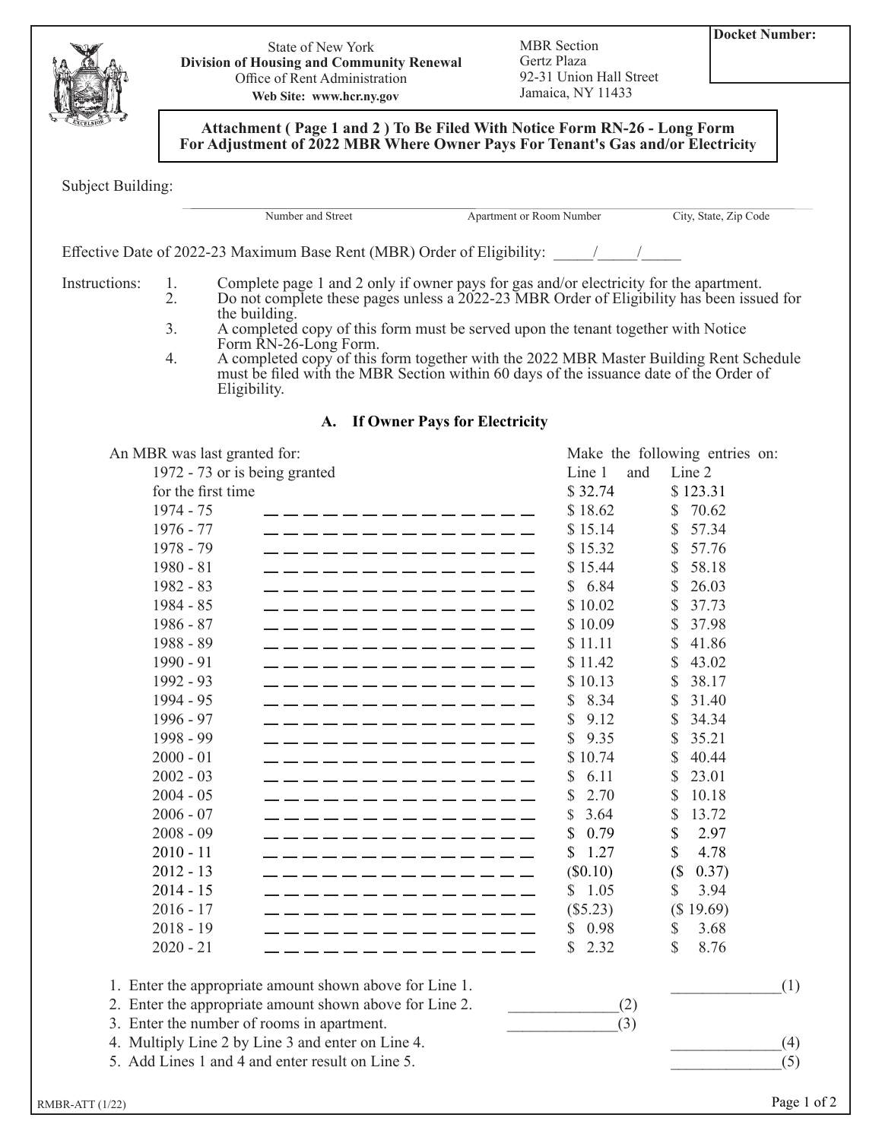

State of New York **Division of Housing and Community Renewal** Office of Rent Administration **Web Site: www.hcr.ny.gov**

MBR Section Gertz Plaza 92-31 Union Hall Street Jamaica, NY 11433

**Attachment ( Page 1 and 2 ) To Be Filed With Notice Form RN-26 - Long Form For Adjustment of 2022 MBR Where Owner Pays For Tenant's Gas and/or Electricity**

Subject Building:

Number and Street Apartment or Room Number City, State, Zip Code

Effective Date of 2022-23 Maximum Base Rent (MBR) Order of Eligibility:  $\frac{1}{2}$ 

Instructions: 1. Complete page 1 and 2 only if owner pays for gas and/or electricity for the apartment.<br>2. Do not complete these pages unless a 2022-23 MBR Order of Eligibility has been issued Do not complete these pages unless a 2022-23 MBR Order of Eligibility has been issued for the building.

- 3. A completed copy of this form must be served upon the tenant together with Notice Form RN-26-Long Form.
- 4. A completed copy of this form together with the 2022 MBR Master Building Rent Schedule must be filed with the MBR Section within 60 days of the issuance date of the Order of Eligibility.

# **A. If Owner Pays for Electricity**

| An MBR was last granted for:               |                                                                                                                                                                                                                                      |             |     | Make the following entries on: |     |
|--------------------------------------------|--------------------------------------------------------------------------------------------------------------------------------------------------------------------------------------------------------------------------------------|-------------|-----|--------------------------------|-----|
| 1972 - 73 or is being granted              |                                                                                                                                                                                                                                      | Line 1      | and | Line 2                         |     |
| for the first time                         |                                                                                                                                                                                                                                      | \$32.74     |     | \$123.31                       |     |
| 1974 - 75                                  |                                                                                                                                                                                                                                      | \$18.62     |     | 70.62<br>\$.                   |     |
| 1976 - 77                                  | . _ _ _ _ _ _ _ _ _ _ _ _ _                                                                                                                                                                                                          | \$15.14     |     | 57.34<br>S                     |     |
| 1978 - 79                                  |                                                                                                                                                                                                                                      | \$15.32     |     | 57.76<br>$\mathbb{S}$          |     |
| $1980 - 81$                                | . _ _ _ _ _ _ _ _ _ _ _ _ _                                                                                                                                                                                                          | \$15.44     |     | 58.18<br>\$                    |     |
| 1982 - 83                                  | . _ _ _ _ _ _ _ _ _ _ _ _ _                                                                                                                                                                                                          | \$6.84      |     | \$<br>26.03                    |     |
| $1984 - 85$                                | <u>. Die programmen die programmen von die programmen van die programmente van die programmente van die programmente van die programmente van die programmente van die programmente van die programmente van die programmente va</u> | \$10.02     |     | 37.73<br>S                     |     |
| $1986 - 87$                                | - - - - - - - - - - - - - - -                                                                                                                                                                                                        | \$10.09     |     | 37.98<br><sup>\$</sup>         |     |
| 1988 - 89                                  | . _ _ _ _ _ _ _ _ _ _ _ _ _                                                                                                                                                                                                          | \$11.11     |     | 41.86<br>\$                    |     |
| $1990 - 91$                                | . __ __ __ __ __ __ __ __ __ __ __                                                                                                                                                                                                   | \$11.42     |     | 43.02<br>S                     |     |
| 1992 - 93                                  | . _ _ _ _ _ _ _ _ _ _ _ _ _                                                                                                                                                                                                          | \$10.13     |     | 38.17<br>\$                    |     |
| 1994 - 95                                  | ____________                                                                                                                                                                                                                         | 8.34<br>\$  |     | 31.40<br>S                     |     |
| $1996 - 97$                                | . _ _ _ _ _ _ _ _ _ _ _ _ _                                                                                                                                                                                                          | 9.12<br>S   |     | \$<br>34.34                    |     |
| 1998 - 99                                  | . <u>.</u> .                                                                                                                                                                                                                         | \$<br>9.35  |     | 35.21<br>S                     |     |
| $2000 - 01$                                | . <u>__ __ __ __ __ __ __ __ __</u>                                                                                                                                                                                                  | \$10.74     |     | 40.44<br>S                     |     |
| $2002 - 03$                                | . __ __ __ __ __ __ __ __ __ __                                                                                                                                                                                                      | 6.11<br>S   |     | $\mathcal{S}$<br>23.01         |     |
| $2004 - 05$                                | ____________                                                                                                                                                                                                                         | \$<br>2.70  |     | 10.18<br>S                     |     |
| $2006 - 07$                                | - - - - - - - - - - - - - -                                                                                                                                                                                                          | 3.64<br>S   |     | 13.72<br>\$                    |     |
| $2008 - 09$                                | - - - - - - - - - - - - - - -                                                                                                                                                                                                        | 0.79<br>\$  |     | 2.97<br>\$                     |     |
| $2010 - 11$                                | . __ __ __ __ __ __ __ __ __ __ __                                                                                                                                                                                                   | 1.27<br>\$. |     | $\mathbb{S}$<br>4.78           |     |
| $2012 - 13$                                | . _ _ _ _ _ _ _ _ _ _ _ _ _                                                                                                                                                                                                          | (S0.10)     |     | (<br>0.37)                     |     |
| $2014 - 15$                                | ____________                                                                                                                                                                                                                         | \$1.05      |     | $\mathbb{S}$<br>3.94           |     |
| $2016 - 17$                                | --------------                                                                                                                                                                                                                       | (\$5.23)    |     | (\$19.69)                      |     |
| $2018 - 19$                                | _ __ __ __ __ __ __ __ __ __ __ __                                                                                                                                                                                                   | \$0.98      |     | 3.68<br>\$                     |     |
| $2020 - 21$                                |                                                                                                                                                                                                                                      | 2.32<br>S   |     | \$<br>8.76                     |     |
|                                            | 1. Enter the appropriate amount shown above for Line 1.                                                                                                                                                                              |             |     |                                | (1) |
|                                            | 2. Enter the appropriate amount shown above for Line 2.                                                                                                                                                                              |             | (2) |                                |     |
| 3. Enter the number of rooms in apartment. |                                                                                                                                                                                                                                      |             | (3) |                                |     |

4. Multiply Line 2 by Line 3 and enter on Line 4.  $(4)$ 

5. Add Lines 1 and 4 and enter result on Line 5.  $(5)$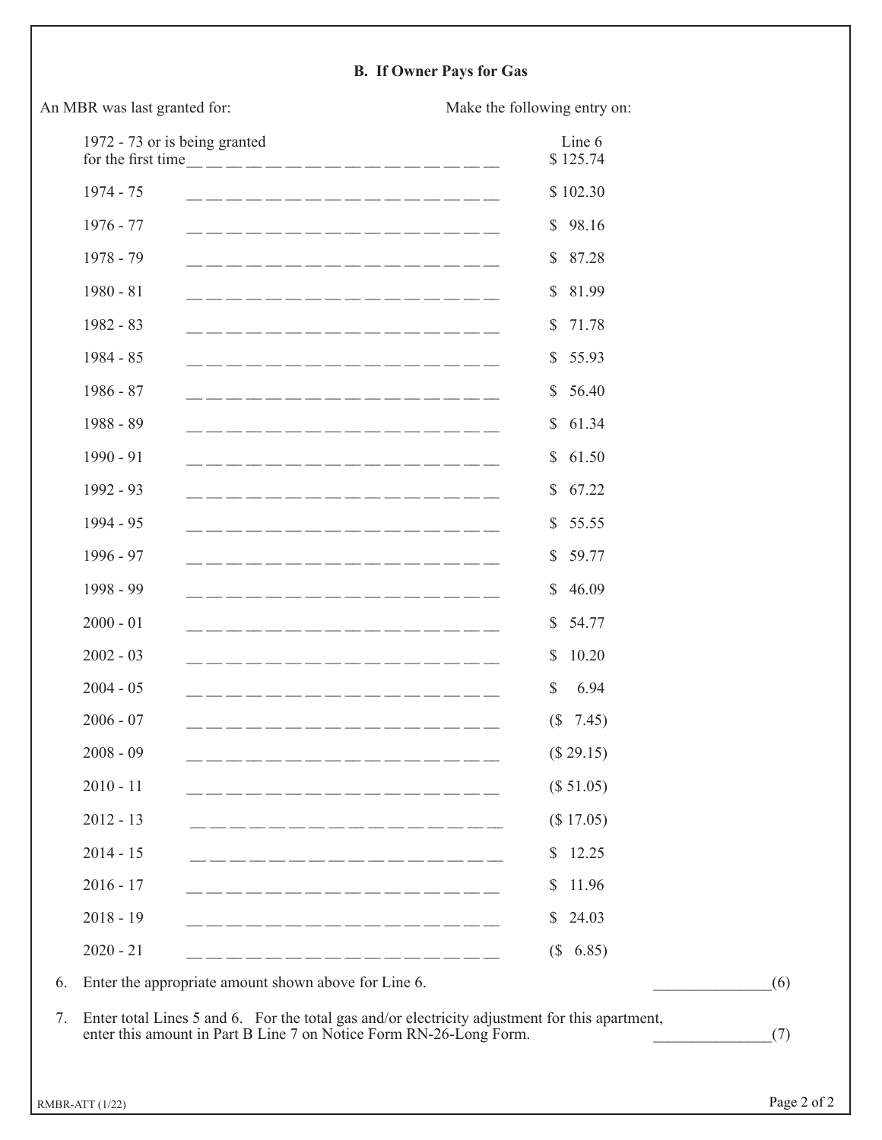# **B. If Owner Pays for Gas**

| 1972 - 73 or is being granted                                                                                                                                                                                                                       | Line 6<br>\$125.74           |
|-----------------------------------------------------------------------------------------------------------------------------------------------------------------------------------------------------------------------------------------------------|------------------------------|
| $1974 - 75$                                                                                                                                                                                                                                         | \$102.30                     |
| $1976 - 77$                                                                                                                                                                                                                                         | \$98.16                      |
| 1978 - 79<br>للمنا والمنبس المنبس المنبس المنبس المنسور المنبس المنبس المنسور المنسور المنبس المنبس المنبس المنبس والمناور                                                                                                                          | \$87.28                      |
| $1980 - 81$<br><u> 1992 - 1992 - 1992 - 1992 - 1992 - 1992 - 1992 - 1992 - 1992 - 1992 - 1993 - 1993 - 1994 - 1994 - 1994 - 1994 - 1994 - 1994 - 1994 - 1994 - 1994 - 1994 - 1994 - 1994 - 1994 - 1994 - 1994 - 1994 - 1994 - 1994 - 1994 - 199</u> | \$81.99                      |
| 1982 - 83                                                                                                                                                                                                                                           | 71.78<br>$\mathbb{S}$        |
| $1984 - 85$                                                                                                                                                                                                                                         | \$55.93                      |
| $1986 - 87$                                                                                                                                                                                                                                         | \$56.40                      |
| 1988 - 89<br><u>. 2002 - 2003 - 2003 - 2004 - 2005 - 2006 - 2007 - 2008 - 200</u>                                                                                                                                                                   | \$61.34                      |
| 1990 - 91                                                                                                                                                                                                                                           | 61.50<br>$\mathbb{S}$        |
| 1992 - 93<br>_________________                                                                                                                                                                                                                      | \$67.22                      |
| 1994 - 95<br>__________________                                                                                                                                                                                                                     | \$55.55                      |
| 1996 - 97                                                                                                                                                                                                                                           | \$59.77                      |
| 1998 - 99                                                                                                                                                                                                                                           | 46.09<br>$\mathbb{S}^-$      |
| $2000 - 01$<br>للمراسطة المناقل المناقل المناقل المناقل المناقل المناقل المناقل المناقل المناقل المناقل المناقل المناقل والمنا                                                                                                                      | \$54.77                      |
| $2002 - 03$<br>للمراسطة المناقل المناقل المناقل المناقل المناقل المناقل المناقل المناقل المناقل المناقل المناقل المناقل والمنا                                                                                                                      | 10.20<br>$\mathbb{S}$        |
| $2004 - 05$                                                                                                                                                                                                                                         | 6.94<br>\$                   |
| $2006 - 07$                                                                                                                                                                                                                                         | 7.45)<br>(S <sup>2</sup> )   |
| $2008 - 09$                                                                                                                                                                                                                                         | (\$29.15)                    |
| $2010 - 11$<br>____________________                                                                                                                                                                                                                 | (\$ 51.05)                   |
| $2012 - 13$                                                                                                                                                                                                                                         | (\$17.05)                    |
| $2014 - 15$                                                                                                                                                                                                                                         | 12.25<br>$\mathbb{S}$        |
| $2016 - 17$<br>___________________                                                                                                                                                                                                                  | 11.96<br>\$                  |
| $2018 - 19$<br>________________                                                                                                                                                                                                                     | \$24.03                      |
| $2020 - 21$                                                                                                                                                                                                                                         | 6.85)<br>$\left( \S \right)$ |
| Enter the appropriate amount shown above for Line 6.                                                                                                                                                                                                |                              |

An MBR was last granted for: Make the following entry on: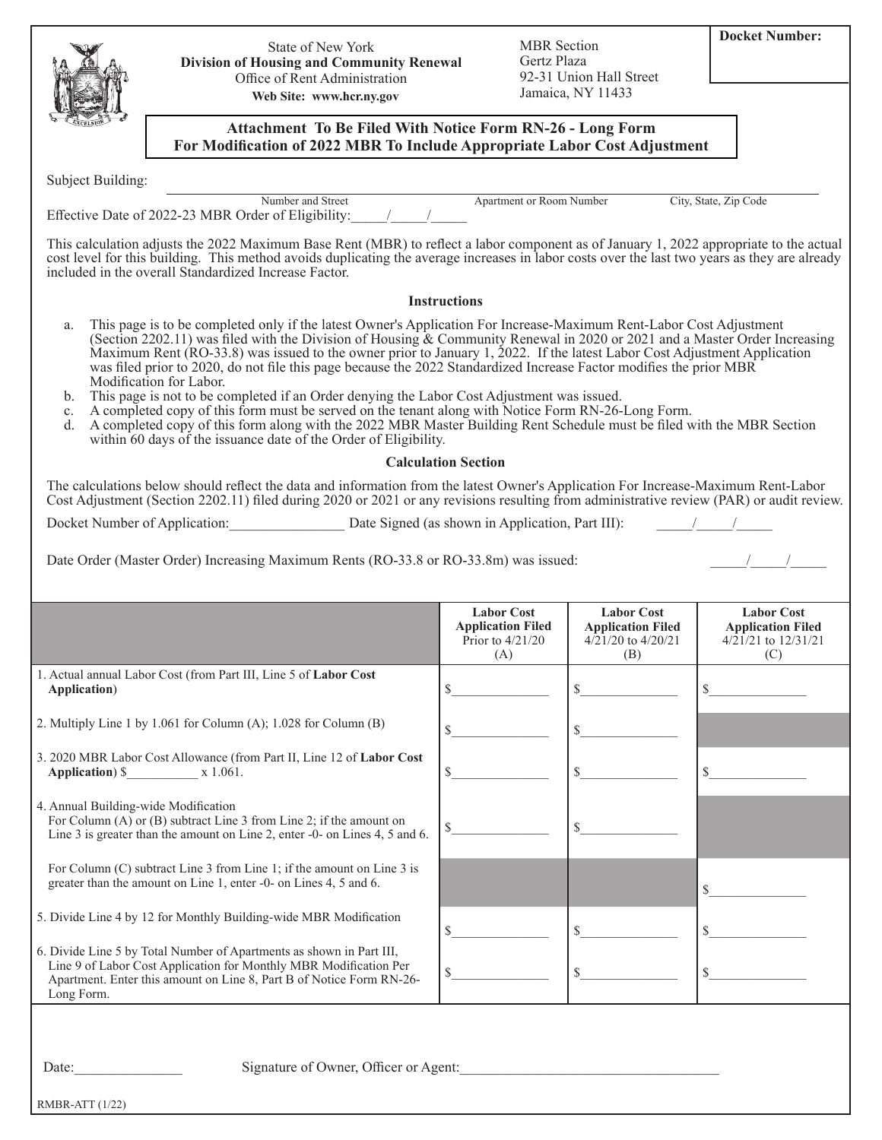|                                      | State of New York<br>Division of Housing and Community Renewal<br>Office of Rent Administration<br>Web Site: www.hcr.ny.gov                                                                                                                                                                                                                                                                                                                                                                                                                                                                                                                                                                                                                                                                                                                                                                                                       | <b>MBR</b> Section<br>Gertz Plaza                                   | 92-31 Union Hall Street<br>Jamaica, NY 11433                        | <b>Docket Number:</b>                                                    |  |  |  |
|--------------------------------------|-----------------------------------------------------------------------------------------------------------------------------------------------------------------------------------------------------------------------------------------------------------------------------------------------------------------------------------------------------------------------------------------------------------------------------------------------------------------------------------------------------------------------------------------------------------------------------------------------------------------------------------------------------------------------------------------------------------------------------------------------------------------------------------------------------------------------------------------------------------------------------------------------------------------------------------|---------------------------------------------------------------------|---------------------------------------------------------------------|--------------------------------------------------------------------------|--|--|--|
|                                      | <b>Attachment To Be Filed With Notice Form RN-26 - Long Form</b><br>For Modification of 2022 MBR To Include Appropriate Labor Cost Adjustment                                                                                                                                                                                                                                                                                                                                                                                                                                                                                                                                                                                                                                                                                                                                                                                     |                                                                     |                                                                     |                                                                          |  |  |  |
| Subject Building:                    |                                                                                                                                                                                                                                                                                                                                                                                                                                                                                                                                                                                                                                                                                                                                                                                                                                                                                                                                   |                                                                     |                                                                     |                                                                          |  |  |  |
|                                      | Number and Street<br>Effective Date of 2022-23 MBR Order of Eligibility: / /                                                                                                                                                                                                                                                                                                                                                                                                                                                                                                                                                                                                                                                                                                                                                                                                                                                      | <b>Apartment or Room Number</b>                                     |                                                                     | City, State, Zip Code                                                    |  |  |  |
|                                      | This calculation adjusts the 2022 Maximum Base Rent (MBR) to reflect a labor component as of January 1, 2022 appropriate to the actual<br>cost level for this building. This method avoids duplicating the average increases in labor costs over the last two years as they are already<br>included in the overall Standardized Increase Factor.                                                                                                                                                                                                                                                                                                                                                                                                                                                                                                                                                                                  |                                                                     |                                                                     |                                                                          |  |  |  |
|                                      |                                                                                                                                                                                                                                                                                                                                                                                                                                                                                                                                                                                                                                                                                                                                                                                                                                                                                                                                   | <b>Instructions</b>                                                 |                                                                     |                                                                          |  |  |  |
| a.<br>b.<br>c.<br>d.                 | This page is to be completed only if the latest Owner's Application For Increase-Maximum Rent-Labor Cost Adjustment<br>(Section 2202.11) was filed with the Division of Housing & Community Renewal in 2020 or 2021 and a Master Order Increasing<br>Maximum Rent (RO-33.8) was issued to the owner prior to January 1, 2022. If the latest Labor Cost Adjustment Application<br>was filed prior to 2020, do not file this page because the 2022 Standardized Increase Factor modifies the prior MBR<br>Modification for Labor.<br>This page is not to be completed if an Order denying the Labor Cost Adjustment was issued.<br>A completed copy of this form must be served on the tenant along with Notice Form RN-26-Long Form.<br>A completed copy of this form along with the 2022 MBR Master Building Rent Schedule must be filed with the MBR Section<br>within 60 days of the issuance date of the Order of Eligibility. |                                                                     |                                                                     |                                                                          |  |  |  |
|                                      |                                                                                                                                                                                                                                                                                                                                                                                                                                                                                                                                                                                                                                                                                                                                                                                                                                                                                                                                   | <b>Calculation Section</b>                                          |                                                                     |                                                                          |  |  |  |
|                                      | The calculations below should reflect the data and information from the latest Owner's Application For Increase-Maximum Rent-Labor<br>Cost Adjustment (Section 2202.11) filed during 2020 or 2021 or any revisions resulting from administrative review (PAR) or audit review.                                                                                                                                                                                                                                                                                                                                                                                                                                                                                                                                                                                                                                                    |                                                                     |                                                                     |                                                                          |  |  |  |
|                                      | Docket Number of Application: Date Signed (as shown in Application, Part III):                                                                                                                                                                                                                                                                                                                                                                                                                                                                                                                                                                                                                                                                                                                                                                                                                                                    |                                                                     |                                                                     |                                                                          |  |  |  |
|                                      | Date Order (Master Order) Increasing Maximum Rents (RO-33.8 or RO-33.8m) was issued:                                                                                                                                                                                                                                                                                                                                                                                                                                                                                                                                                                                                                                                                                                                                                                                                                                              | <b>Labor Cost</b><br><b>Application Filed</b><br>Prior to $4/21/20$ | <b>Labor Cost</b><br><b>Application Filed</b><br>4/21/20 to 4/20/21 | <b>Labor Cost</b><br><b>Application Filed</b><br>$4/21/21$ to $12/31/21$ |  |  |  |
|                                      | 1. Actual annual Labor Cost (from Part III, Line 5 of Labor Cost                                                                                                                                                                                                                                                                                                                                                                                                                                                                                                                                                                                                                                                                                                                                                                                                                                                                  | (A)                                                                 | (B)                                                                 | (C)                                                                      |  |  |  |
| Application)                         |                                                                                                                                                                                                                                                                                                                                                                                                                                                                                                                                                                                                                                                                                                                                                                                                                                                                                                                                   | \$                                                                  | \$                                                                  | \$                                                                       |  |  |  |
|                                      | 2. Multiply Line 1 by 1.061 for Column (A); 1.028 for Column (B)                                                                                                                                                                                                                                                                                                                                                                                                                                                                                                                                                                                                                                                                                                                                                                                                                                                                  | \$                                                                  | \$                                                                  |                                                                          |  |  |  |
| <b>Application</b> ) \$              | 3. 2020 MBR Labor Cost Allowance (from Part II, Line 12 of Labor Cost<br>x 1.061.                                                                                                                                                                                                                                                                                                                                                                                                                                                                                                                                                                                                                                                                                                                                                                                                                                                 | \$                                                                  | \$                                                                  |                                                                          |  |  |  |
| 4. Annual Building-wide Modification | For Column $(A)$ or $(B)$ subtract Line 3 from Line 2; if the amount on<br>Line 3 is greater than the amount on Line 2, enter -0- on Lines 4, 5 and 6.                                                                                                                                                                                                                                                                                                                                                                                                                                                                                                                                                                                                                                                                                                                                                                            | \$                                                                  |                                                                     |                                                                          |  |  |  |
|                                      | For Column (C) subtract Line 3 from Line 1; if the amount on Line 3 is<br>greater than the amount on Line 1, enter -0- on Lines 4, 5 and 6.                                                                                                                                                                                                                                                                                                                                                                                                                                                                                                                                                                                                                                                                                                                                                                                       |                                                                     |                                                                     | \$                                                                       |  |  |  |
|                                      | 5. Divide Line 4 by 12 for Monthly Building-wide MBR Modification                                                                                                                                                                                                                                                                                                                                                                                                                                                                                                                                                                                                                                                                                                                                                                                                                                                                 | \$                                                                  | \$                                                                  | \$                                                                       |  |  |  |
| Long Form.                           | 6. Divide Line 5 by Total Number of Apartments as shown in Part III,<br>Line 9 of Labor Cost Application for Monthly MBR Modification Per<br>Apartment. Enter this amount on Line 8, Part B of Notice Form RN-26-                                                                                                                                                                                                                                                                                                                                                                                                                                                                                                                                                                                                                                                                                                                 | \$                                                                  | \$                                                                  |                                                                          |  |  |  |
| Date:                                | Signature of Owner, Officer or Agent:                                                                                                                                                                                                                                                                                                                                                                                                                                                                                                                                                                                                                                                                                                                                                                                                                                                                                             |                                                                     |                                                                     |                                                                          |  |  |  |

RMBR-ATT (1/22)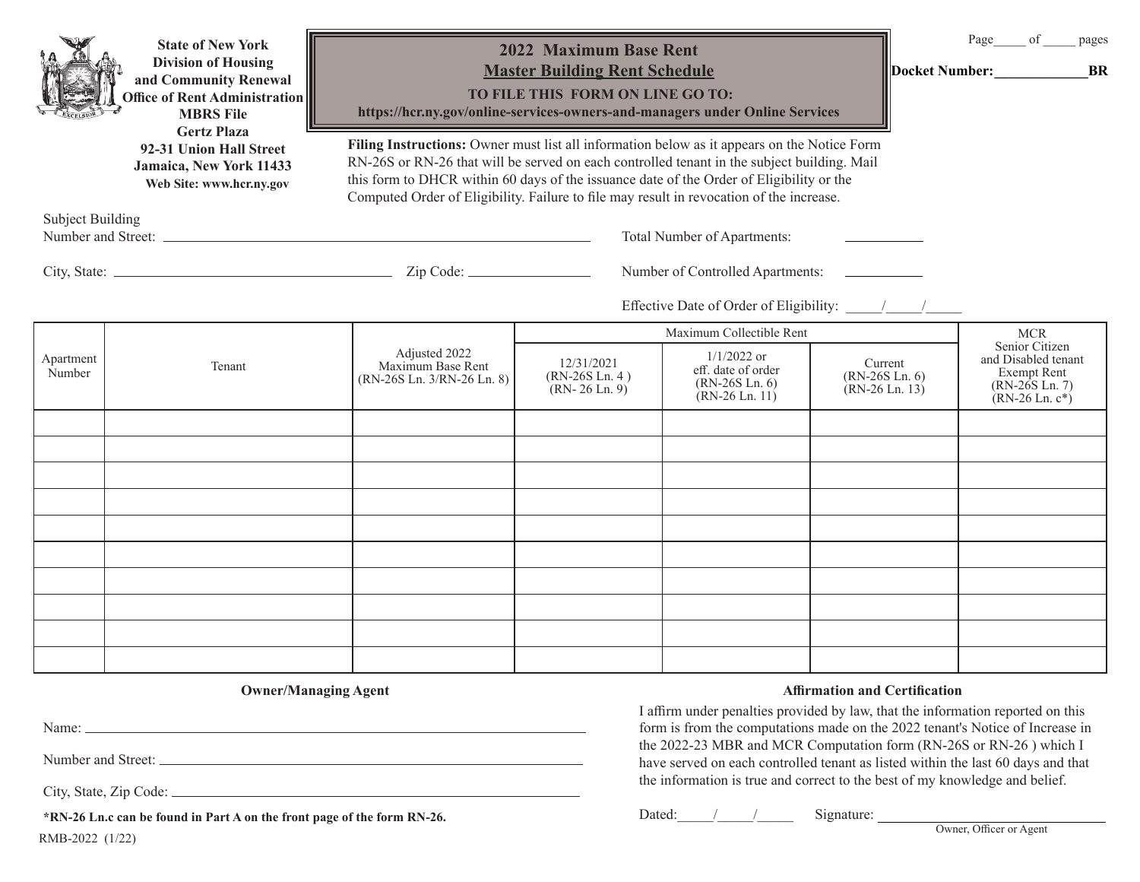|                         | <b>State of New York</b><br><b>Division of Housing</b><br>and Community Renewal<br>Office of Rent Administration<br><b>MBRS</b> File                   | https://hcr.ny.gov/online-services-owners-and-managers under Online Services                                                                                                                                                                                                                                                                                                       | 2022 Maximum Base Rent<br><b>Master Building Rent Schedule</b><br>TO FILE THIS FORM ON LINE GO TO: |                                                                                        |                                                            | Page<br>of<br>pages<br>Docket Number:<br><b>BR</b>                                          |  |
|-------------------------|--------------------------------------------------------------------------------------------------------------------------------------------------------|------------------------------------------------------------------------------------------------------------------------------------------------------------------------------------------------------------------------------------------------------------------------------------------------------------------------------------------------------------------------------------|----------------------------------------------------------------------------------------------------|----------------------------------------------------------------------------------------|------------------------------------------------------------|---------------------------------------------------------------------------------------------|--|
|                         | <b>Gertz Plaza</b><br>92-31 Union Hall Street<br>Jamaica, New York 11433<br>Web Site: www.hcr.ny.gov                                                   | Filing Instructions: Owner must list all information below as it appears on the Notice Form<br>RN-26S or RN-26 that will be served on each controlled tenant in the subject building. Mail<br>this form to DHCR within 60 days of the issuance date of the Order of Eligibility or the<br>Computed Order of Eligibility. Failure to file may result in revocation of the increase. |                                                                                                    |                                                                                        |                                                            |                                                                                             |  |
| <b>Subject Building</b> |                                                                                                                                                        | the control of the control of the control of the control of the control of                                                                                                                                                                                                                                                                                                         |                                                                                                    | Total Number of Apartments:                                                            |                                                            |                                                                                             |  |
|                         |                                                                                                                                                        |                                                                                                                                                                                                                                                                                                                                                                                    |                                                                                                    | Number of Controlled Apartments:                                                       |                                                            |                                                                                             |  |
|                         |                                                                                                                                                        |                                                                                                                                                                                                                                                                                                                                                                                    |                                                                                                    |                                                                                        |                                                            |                                                                                             |  |
|                         |                                                                                                                                                        |                                                                                                                                                                                                                                                                                                                                                                                    |                                                                                                    | Maximum Collectible Rent                                                               |                                                            | <b>MCR</b><br>Senior Citizen                                                                |  |
| Apartment<br>Number     | Tenant                                                                                                                                                 | Adjusted 2022<br>Maximum Base Rent<br>(RN-26S Ln. 3/RN-26 Ln. 8)                                                                                                                                                                                                                                                                                                                   | 12/31/2021<br>$(RN-26S$ Ln. 4)<br>$(RN-26 \text{ Ln. } 9)$                                         | $1/1/2022$ or<br>eff. date of order<br>$(RN-26S$ Ln. $6)$<br>$(RN-26 \text{ Ln. } 11)$ | Current<br>$(RN-26S$ Ln. $6)$<br>$(RN-26 \text{ Ln. } 13)$ | and Disabled tenant<br><b>Exempt Rent</b><br>$(RN-26S$ Ln. 7)<br>$(RN-26 \text{ Ln. } c^*)$ |  |
|                         |                                                                                                                                                        |                                                                                                                                                                                                                                                                                                                                                                                    |                                                                                                    |                                                                                        |                                                            |                                                                                             |  |
|                         |                                                                                                                                                        |                                                                                                                                                                                                                                                                                                                                                                                    |                                                                                                    |                                                                                        |                                                            |                                                                                             |  |
|                         |                                                                                                                                                        |                                                                                                                                                                                                                                                                                                                                                                                    |                                                                                                    |                                                                                        |                                                            |                                                                                             |  |
|                         |                                                                                                                                                        |                                                                                                                                                                                                                                                                                                                                                                                    |                                                                                                    |                                                                                        |                                                            |                                                                                             |  |
|                         |                                                                                                                                                        |                                                                                                                                                                                                                                                                                                                                                                                    |                                                                                                    |                                                                                        |                                                            |                                                                                             |  |
|                         |                                                                                                                                                        |                                                                                                                                                                                                                                                                                                                                                                                    |                                                                                                    |                                                                                        |                                                            |                                                                                             |  |
|                         |                                                                                                                                                        |                                                                                                                                                                                                                                                                                                                                                                                    |                                                                                                    |                                                                                        |                                                            |                                                                                             |  |
|                         |                                                                                                                                                        |                                                                                                                                                                                                                                                                                                                                                                                    |                                                                                                    |                                                                                        |                                                            |                                                                                             |  |
|                         | <b>Owner/Managing Agent</b><br><b>Affirmation and Certification</b><br>I affirm under penalties provided by law, that the information reported on this |                                                                                                                                                                                                                                                                                                                                                                                    |                                                                                                    |                                                                                        |                                                            |                                                                                             |  |

<u> 1989 - Johann Barn, amerikansk politiker (d. 1989)</u> Name:  $\overline{\phantom{0}}$ 

Number and Street:

City, State, Zip Code:

**\*RN-26 Ln.c can be found in Part A on the front page of the form RN-26.**

RMB-2022 (1/22)

Dated: / / / Signature:

form is from the computations made on the 2022 tenant's Notice of Increase in the 2022-23 MBR and MCR Computation form (RN-26S or RN-26 ) which I have served on each controlled tenant as listed within the last 60 days and that the information is true and correct to the best of my knowledge and belief.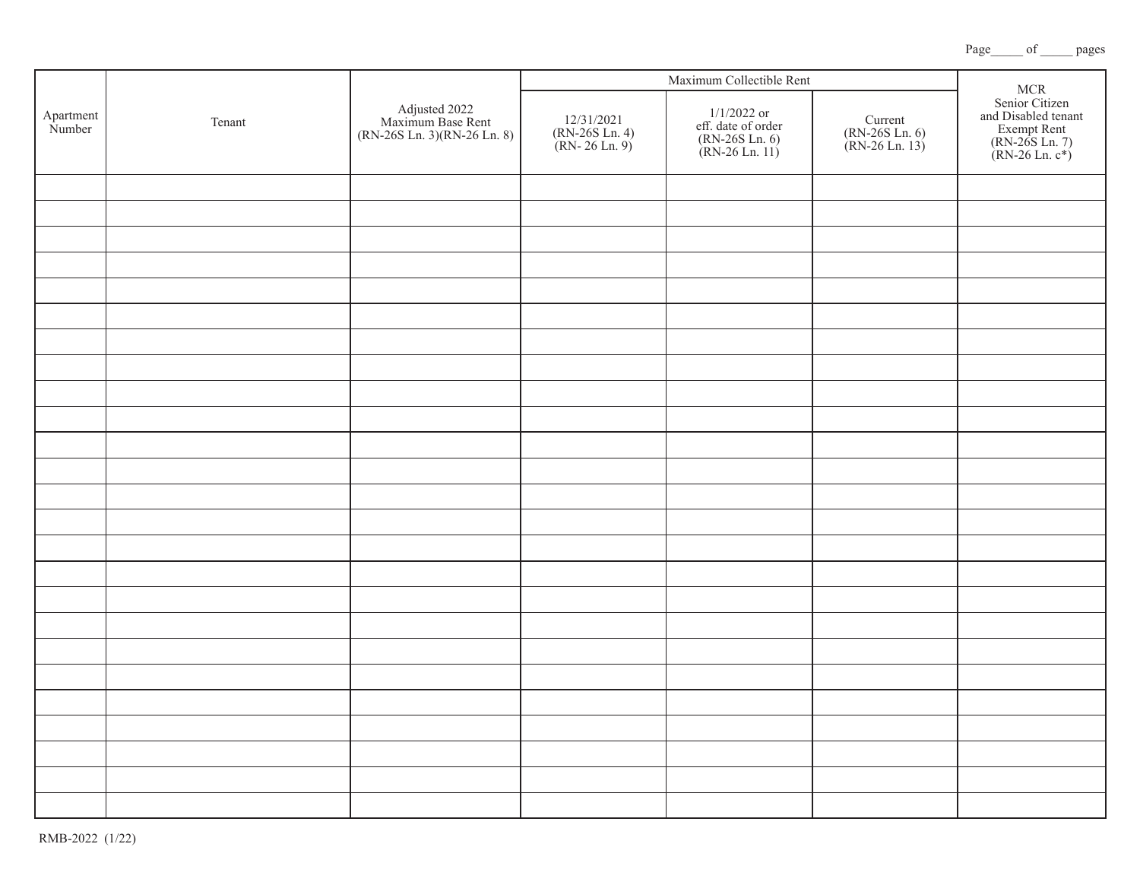|                     | Tenant |                                                                   | Maximum Collectible Rent |                                                |                                                                         |                                             |
|---------------------|--------|-------------------------------------------------------------------|--------------------------|------------------------------------------------|-------------------------------------------------------------------------|---------------------------------------------|
| Apartment<br>Number |        | Adjusted 2022<br>Maximum Base Rent<br>(RN-26S Ln. 3)(RN-26 Ln. 8) |                          | 12/31/2021<br>(RN-26S Ln. 4)<br>(RN- 26 Ln. 9) | $1/1/2022$ or<br>eff. date of order<br>(RN-26S Ln. 6)<br>(RN-26 Ln. 11) | Current<br>(RN-26S Ln. 6)<br>(RN-26 Ln. 13) |
|                     |        |                                                                   |                          |                                                |                                                                         |                                             |
|                     |        |                                                                   |                          |                                                |                                                                         |                                             |
|                     |        |                                                                   |                          |                                                |                                                                         |                                             |
|                     |        |                                                                   |                          |                                                |                                                                         |                                             |
|                     |        |                                                                   |                          |                                                |                                                                         |                                             |
|                     |        |                                                                   |                          |                                                |                                                                         |                                             |
|                     |        |                                                                   |                          |                                                |                                                                         |                                             |
|                     |        |                                                                   |                          |                                                |                                                                         |                                             |
|                     |        |                                                                   |                          |                                                |                                                                         |                                             |
|                     |        |                                                                   |                          |                                                |                                                                         |                                             |
|                     |        |                                                                   |                          |                                                |                                                                         |                                             |
|                     |        |                                                                   |                          |                                                |                                                                         |                                             |
|                     |        |                                                                   |                          |                                                |                                                                         |                                             |
|                     |        |                                                                   |                          |                                                |                                                                         |                                             |
|                     |        |                                                                   |                          |                                                |                                                                         |                                             |
|                     |        |                                                                   |                          |                                                |                                                                         |                                             |
|                     |        |                                                                   |                          |                                                |                                                                         |                                             |
|                     |        |                                                                   |                          |                                                |                                                                         |                                             |
|                     |        |                                                                   |                          |                                                |                                                                         |                                             |
|                     |        |                                                                   |                          |                                                |                                                                         |                                             |
|                     |        |                                                                   |                          |                                                |                                                                         |                                             |
|                     |        |                                                                   |                          |                                                |                                                                         |                                             |
|                     |        |                                                                   |                          |                                                |                                                                         |                                             |
|                     |        |                                                                   |                          |                                                |                                                                         |                                             |
|                     |        |                                                                   |                          |                                                |                                                                         |                                             |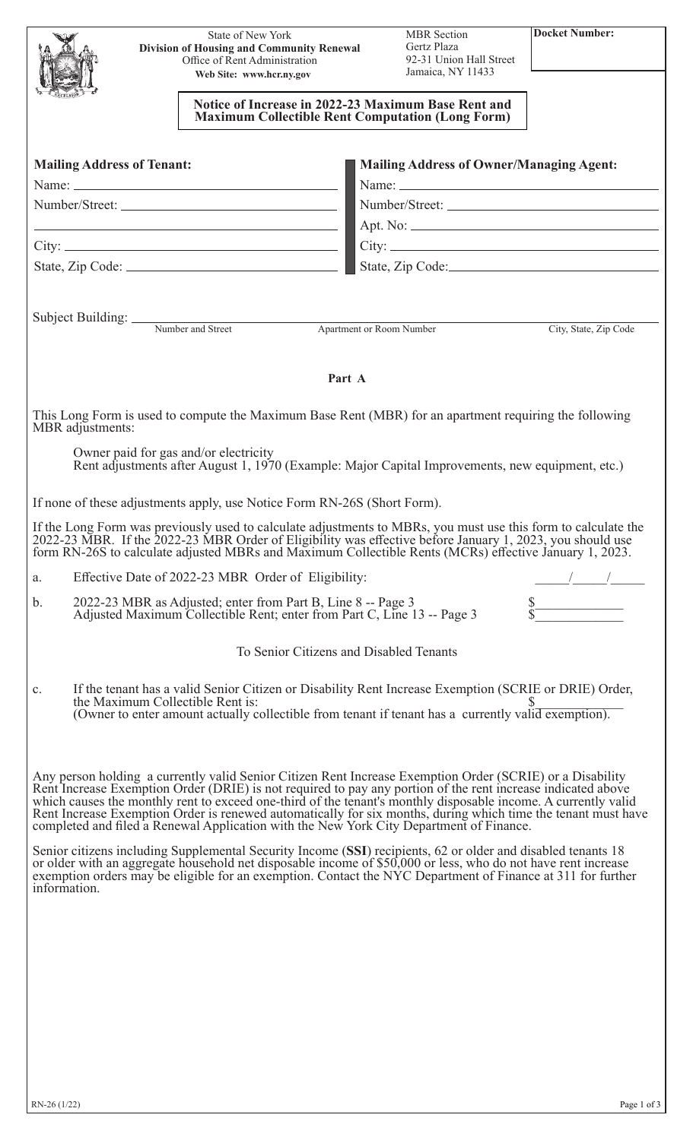|                  |                                   | State of New York<br><b>Division of Housing and Community Renewal</b>    |        | <b>MBR</b> Section<br>Gertz Plaza                                                                                                                                                                                                                                                                                                     | <b>Docket Number:</b> |
|------------------|-----------------------------------|--------------------------------------------------------------------------|--------|---------------------------------------------------------------------------------------------------------------------------------------------------------------------------------------------------------------------------------------------------------------------------------------------------------------------------------------|-----------------------|
|                  |                                   | Office of Rent Administration<br>Web Site: www.hcr.ny.gov                |        | 92-31 Union Hall Street<br>Jamaica, NY 11433                                                                                                                                                                                                                                                                                          |                       |
|                  |                                   |                                                                          |        |                                                                                                                                                                                                                                                                                                                                       |                       |
|                  |                                   |                                                                          |        | Notice of Increase in 2022-23 Maximum Base Rent and<br><b>Maximum Collectible Rent Computation (Long Form)</b>                                                                                                                                                                                                                        |                       |
|                  |                                   |                                                                          |        |                                                                                                                                                                                                                                                                                                                                       |                       |
|                  | <b>Mailing Address of Tenant:</b> |                                                                          |        | <b>Mailing Address of Owner/Managing Agent:</b>                                                                                                                                                                                                                                                                                       |                       |
|                  |                                   |                                                                          |        |                                                                                                                                                                                                                                                                                                                                       |                       |
|                  |                                   |                                                                          |        |                                                                                                                                                                                                                                                                                                                                       |                       |
|                  |                                   |                                                                          |        | <b>Example 2018</b> Apt. No:<br>$City:$ $\Box$                                                                                                                                                                                                                                                                                        |                       |
|                  |                                   |                                                                          |        | State, Zip Code: State of Contact State, Zip Code:                                                                                                                                                                                                                                                                                    |                       |
|                  |                                   |                                                                          |        |                                                                                                                                                                                                                                                                                                                                       |                       |
|                  |                                   |                                                                          |        |                                                                                                                                                                                                                                                                                                                                       |                       |
|                  |                                   | Subject Building: <u>Number and Street</u>                               |        | Apartment or Room Number                                                                                                                                                                                                                                                                                                              | City, State, Zip Code |
|                  |                                   |                                                                          |        |                                                                                                                                                                                                                                                                                                                                       |                       |
|                  |                                   |                                                                          | Part A |                                                                                                                                                                                                                                                                                                                                       |                       |
|                  |                                   |                                                                          |        |                                                                                                                                                                                                                                                                                                                                       |                       |
| MBR adjustments: |                                   |                                                                          |        | This Long Form is used to compute the Maximum Base Rent (MBR) for an apartment requiring the following                                                                                                                                                                                                                                |                       |
|                  |                                   | Owner paid for gas and/or electricity                                    |        |                                                                                                                                                                                                                                                                                                                                       |                       |
|                  |                                   |                                                                          |        | Rent adjustments after August 1, 1970 (Example: Major Capital Improvements, new equipment, etc.)                                                                                                                                                                                                                                      |                       |
|                  |                                   | If none of these adjustments apply, use Notice Form RN-26S (Short Form). |        |                                                                                                                                                                                                                                                                                                                                       |                       |
|                  |                                   |                                                                          |        | If the Long Form was previously used to calculate adjustments to MBRs, you must use this form to calculate the<br>2022-23 MBR. If the 2022-23 MBR Order of Eligibility was effective before January 1, 2023, you should use<br>form RN-26S to calculate adjusted MBRs and Maximum Collectible Rents (MCRs) effective January 1, 2023. |                       |
| a.               |                                   | Effective Date of 2022-23 MBR Order of Eligibility:                      |        |                                                                                                                                                                                                                                                                                                                                       |                       |
| b.               |                                   |                                                                          |        | 2022-23 MBR as Adjusted; enter from Part B, Line 8 -- Page 3<br>Adjusted Maximum Collectible Rent; enter from Part C, Line 13 -- Page 3                                                                                                                                                                                               | $\frac{\$}{\$}$       |
|                  |                                   |                                                                          |        | To Senior Citizens and Disabled Tenants                                                                                                                                                                                                                                                                                               |                       |
| c.               |                                   |                                                                          |        | If the tenant has a valid Senior Citizen or Disability Rent Increase Exemption (SCRIE or DRIE) Order,                                                                                                                                                                                                                                 |                       |
|                  |                                   | the Maximum Collectible Rent is:                                         |        | (Owner to enter amount actually collectible from tenant if tenant has a currently valid exemption).                                                                                                                                                                                                                                   |                       |
|                  |                                   |                                                                          |        |                                                                                                                                                                                                                                                                                                                                       |                       |
|                  |                                   |                                                                          |        |                                                                                                                                                                                                                                                                                                                                       |                       |
|                  |                                   |                                                                          |        | Any person holding a currently valid Senior Citizen Rent Increase Exemption Order (SCRIE) or a Disability                                                                                                                                                                                                                             |                       |
|                  |                                   |                                                                          |        | Rent Increase Exemption Order (DRIE) is not required to pay any portion of the rent increase indicated above<br>which causes the monthly rent to exceed one-third of the tenant's monthly disposable income. A currently valid                                                                                                        |                       |
|                  |                                   |                                                                          |        | Rent Increase Exemption Order is renewed automatically for six months, during which time the tenant must have<br>completed and filed a Renewal Application with the New York City Department of Finance.                                                                                                                              |                       |
|                  |                                   |                                                                          |        | Senior citizens including Supplemental Security Income (SSI) recipients, 62 or older and disabled tenants 18                                                                                                                                                                                                                          |                       |
|                  |                                   |                                                                          |        | or older with an aggregate household net disposable income of \$50,000 or less, who do not have rent increase<br>exemption orders may be eligible for an exemption. Contact the NYC Department of Finance at 311 for further                                                                                                          |                       |
| information.     |                                   |                                                                          |        |                                                                                                                                                                                                                                                                                                                                       |                       |
|                  |                                   |                                                                          |        |                                                                                                                                                                                                                                                                                                                                       |                       |
|                  |                                   |                                                                          |        |                                                                                                                                                                                                                                                                                                                                       |                       |
|                  |                                   |                                                                          |        |                                                                                                                                                                                                                                                                                                                                       |                       |
|                  |                                   |                                                                          |        |                                                                                                                                                                                                                                                                                                                                       |                       |
|                  |                                   |                                                                          |        |                                                                                                                                                                                                                                                                                                                                       |                       |
|                  |                                   |                                                                          |        |                                                                                                                                                                                                                                                                                                                                       |                       |
|                  |                                   |                                                                          |        |                                                                                                                                                                                                                                                                                                                                       |                       |
|                  |                                   |                                                                          |        |                                                                                                                                                                                                                                                                                                                                       |                       |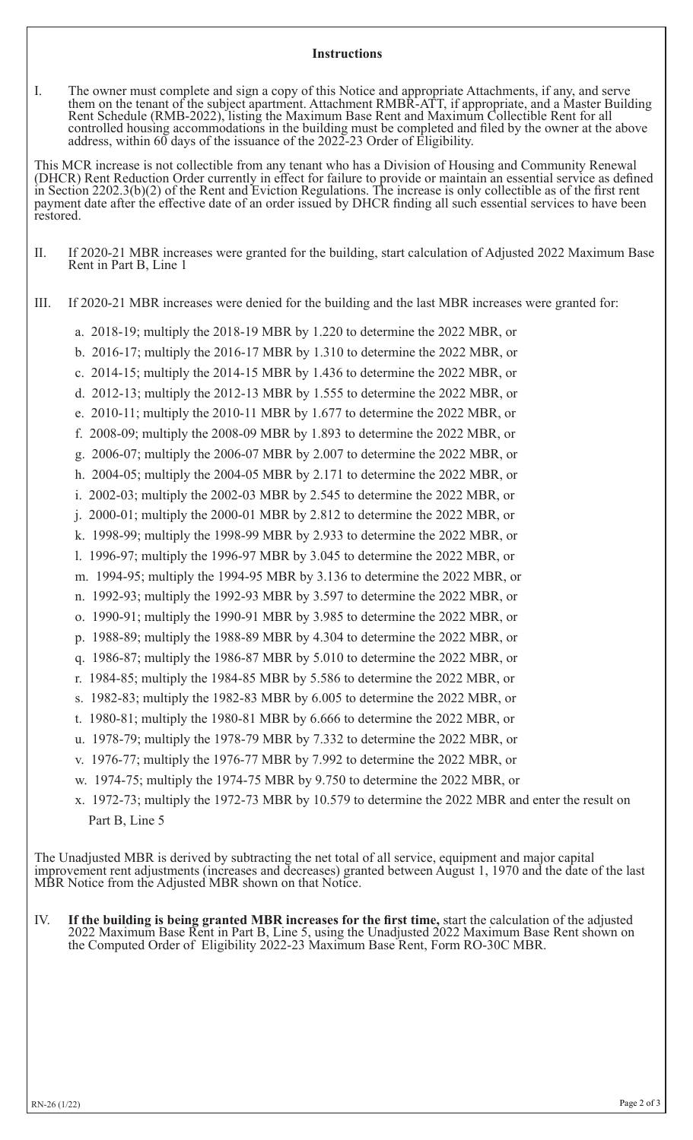# **Instructions**

I. The owner must complete and sign a copy of this Notice and appropriate Attachments, if any, and serve them on the tenant of the subject apartment. Attachment RMBR-ATT, if appropriate, and a Master Building Rent Schedule (RMB-2022), listing the Maximum Base Rent and Maximum Collectible Rent for all controlled housing accommodations in the building must be completed and filed by the owner at the above address, within 60 days of the issuance of the 2022-23 Order of Eligibility.

This MCR increase is not collectible from any tenant who has a Division of Housing and Community Renewal (DHCR) Rent Reduction Order currently in effect for failure to provide or maintain an essential service as defined in Section 2202.3(b)(2) of the Rent and Eviction Regulations. The increase is only collectible as of the first rent payment date after the effective date of an order issued by DHCR finding all such essential services to have been restored.

II. If 2020-21 MBR increases were granted for the building, start calculation of Adjusted 2022 Maximum Base Rent in Part B, Line 1

III. If 2020-21 MBR increases were denied for the building and the last MBR increases were granted for:

- a. 2018-19; multiply the 2018-19 MBR by 1.220 to determine the 2022 MBR, or
- b. 2016-17; multiply the 2016-17 MBR by 1.310 to determine the 2022 MBR, or
- c. 2014-15; multiply the 2014-15 MBR by 1.436 to determine the 2022 MBR, or
- d. 2012-13; multiply the 2012-13 MBR by 1.555 to determine the 2022 MBR, or
- e. 2010-11; multiply the 2010-11 MBR by 1.677 to determine the 2022 MBR, or
- f. 2008-09; multiply the 2008-09 MBR by 1.893 to determine the 2022 MBR, or
- g. 2006-07; multiply the 2006-07 MBR by 2.007 to determine the 2022 MBR, or
- h. 2004-05; multiply the 2004-05 MBR by 2.171 to determine the 2022 MBR, or
- i. 2002-03; multiply the 2002-03 MBR by 2.545 to determine the 2022 MBR, or
- j. 2000-01; multiply the 2000-01 MBR by 2.812 to determine the 2022 MBR, or
- k. 1998-99; multiply the 1998-99 MBR by 2.933 to determine the 2022 MBR, or
- l. 1996-97; multiply the 1996-97 MBR by 3.045 to determine the 2022 MBR, or
- m. 1994-95; multiply the 1994-95 MBR by 3.136 to determine the 2022 MBR, or
- n. 1992-93; multiply the 1992-93 MBR by 3.597 to determine the 2022 MBR, or
- o. 1990-91; multiply the 1990-91 MBR by 3.985 to determine the 2022 MBR, or
- p. 1988-89; multiply the 1988-89 MBR by 4.304 to determine the 2022 MBR, or
- q. 1986-87; multiply the 1986-87 MBR by 5.010 to determine the 2022 MBR, or
- r. 1984-85; multiply the 1984-85 MBR by 5.586 to determine the 2022 MBR, or
- s. 1982-83; multiply the 1982-83 MBR by 6.005 to determine the 2022 MBR, or
- t. 1980-81; multiply the 1980-81 MBR by 6.666 to determine the 2022 MBR, or
- u. 1978-79; multiply the 1978-79 MBR by 7.332 to determine the 2022 MBR, or
- v. 1976-77; multiply the 1976-77 MBR by 7.992 to determine the 2022 MBR, or
- w. 1974-75; multiply the 1974-75 MBR by 9.750 to determine the 2022 MBR, or
- x. 1972-73; multiply the 1972-73 MBR by 10.579 to determine the 2022 MBR and enter the result on Part B, Line 5

The Unadjusted MBR is derived by subtracting the net total of all service, equipment and major capital improvement rent adjustments (increases and decreases) granted between August 1, 1970 and the date of the last MBR Notice from the Adjusted MBR shown on that Notice.

IV. **If the building is being granted MBR increases for the first time,** start the calculation of the adjusted 2022 Maximum Base Rent in Part B, Line 5, using the Unadjusted 2022 Maximum Base Rent shown on the Computed Order of Eligibility 2022-23 Maximum Base Rent, Form RO-30C MBR.